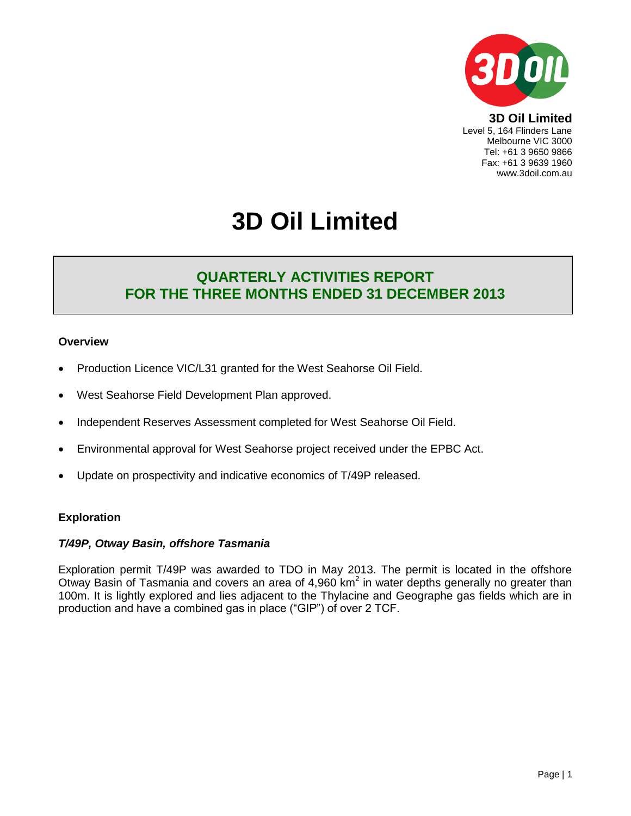

Level 5, 164 Flinders Lane Melbourne VIC 3000 Tel: +61 3 9650 9866 Fax: +61 3 9639 1960 www.3doil.com.au

# **3D Oil Limited**

# **QUARTERLY ACTIVITIES REPORT FOR THE THREE MONTHS ENDED 31 DECEMBER 2013**

#### **Overview**

- Production Licence VIC/L31 granted for the West Seahorse Oil Field.
- West Seahorse Field Development Plan approved.
- Independent Reserves Assessment completed for West Seahorse Oil Field.
- Environmental approval for West Seahorse project received under the EPBC Act.
- Update on prospectivity and indicative economics of T/49P released.

#### **Exploration**

#### *T/49P, Otway Basin, offshore Tasmania*

Exploration permit T/49P was awarded to TDO in May 2013. The permit is located in the offshore Otway Basin of Tasmania and covers an area of 4,960 km<sup>2</sup> in water depths generally no greater than 100m. It is lightly explored and lies adjacent to the Thylacine and Geographe gas fields which are in production and have a combined gas in place ("GIP") of over 2 TCF.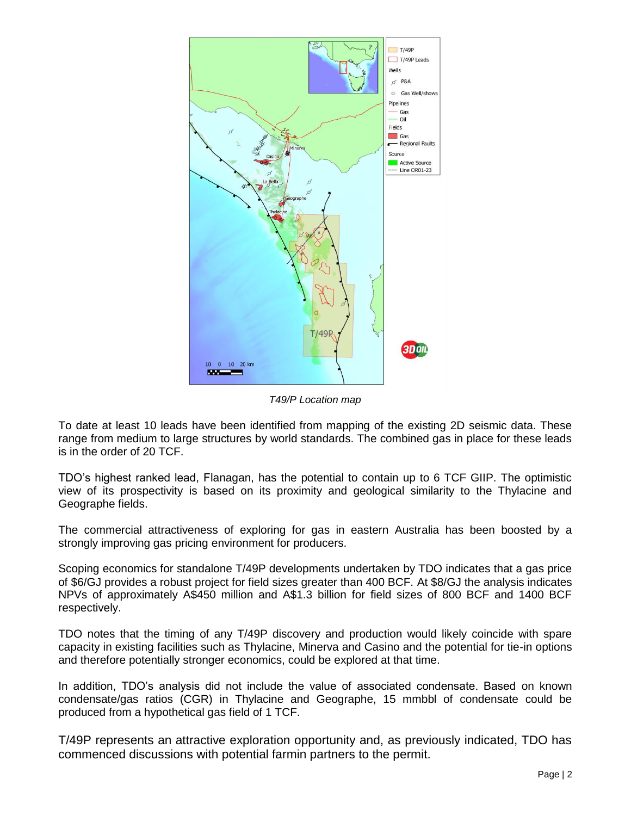

*T49/P Location map*

To date at least 10 leads have been identified from mapping of the existing 2D seismic data. These range from medium to large structures by world standards. The combined gas in place for these leads is in the order of 20 TCF.

TDO's highest ranked lead, Flanagan, has the potential to contain up to 6 TCF GIIP. The optimistic view of its prospectivity is based on its proximity and geological similarity to the Thylacine and Geographe fields.

The commercial attractiveness of exploring for gas in eastern Australia has been boosted by a strongly improving gas pricing environment for producers.

Scoping economics for standalone T/49P developments undertaken by TDO indicates that a gas price of \$6/GJ provides a robust project for field sizes greater than 400 BCF. At \$8/GJ the analysis indicates NPVs of approximately A\$450 million and A\$1.3 billion for field sizes of 800 BCF and 1400 BCF respectively.

TDO notes that the timing of any T/49P discovery and production would likely coincide with spare capacity in existing facilities such as Thylacine, Minerva and Casino and the potential for tie-in options and therefore potentially stronger economics, could be explored at that time.

In addition, TDO's analysis did not include the value of associated condensate. Based on known condensate/gas ratios (CGR) in Thylacine and Geographe, 15 mmbbl of condensate could be produced from a hypothetical gas field of 1 TCF.

T/49P represents an attractive exploration opportunity and, as previously indicated, TDO has commenced discussions with potential farmin partners to the permit.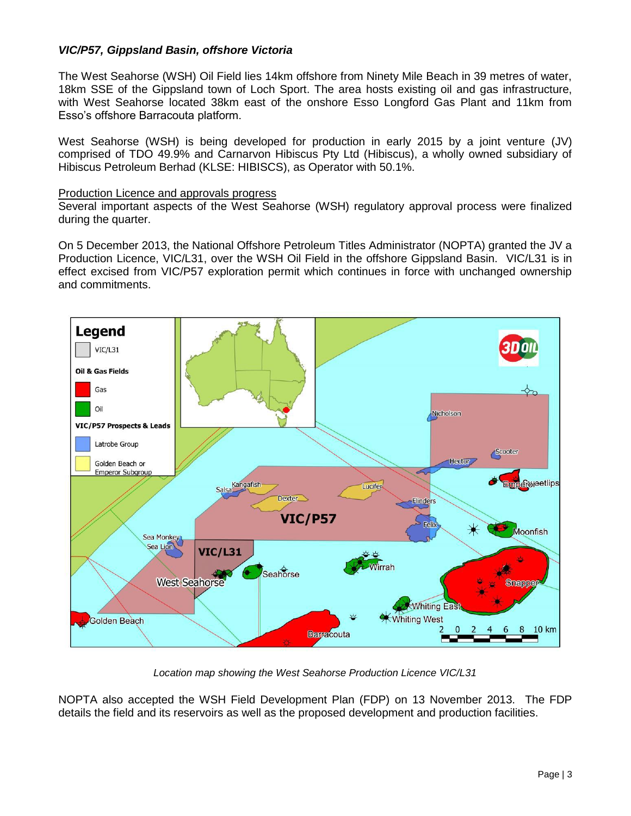#### *VIC/P57, Gippsland Basin, offshore Victoria*

The West Seahorse (WSH) Oil Field lies 14km offshore from Ninety Mile Beach in 39 metres of water, 18km SSE of the Gippsland town of Loch Sport. The area hosts existing oil and gas infrastructure, with West Seahorse located 38km east of the onshore Esso Longford Gas Plant and 11km from Esso's offshore Barracouta platform.

West Seahorse (WSH) is being developed for production in early 2015 by a joint venture (JV) comprised of TDO 49.9% and Carnarvon Hibiscus Pty Ltd (Hibiscus), a wholly owned subsidiary of Hibiscus Petroleum Berhad (KLSE: HIBISCS), as Operator with 50.1%.

#### Production Licence and approvals progress

Several important aspects of the West Seahorse (WSH) regulatory approval process were finalized during the quarter.

On 5 December 2013, the National Offshore Petroleum Titles Administrator (NOPTA) granted the JV a Production Licence, VIC/L31, over the WSH Oil Field in the offshore Gippsland Basin. VIC/L31 is in effect excised from VIC/P57 exploration permit which continues in force with unchanged ownership and commitments.



*Location map showing the West Seahorse Production Licence VIC/L31*

NOPTA also accepted the WSH Field Development Plan (FDP) on 13 November 2013. The FDP details the field and its reservoirs as well as the proposed development and production facilities.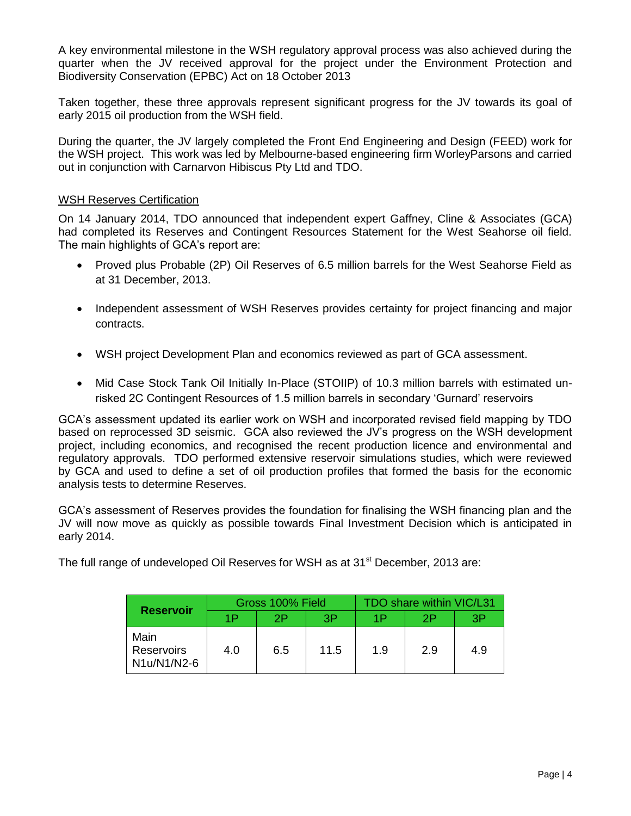A key environmental milestone in the WSH regulatory approval process was also achieved during the quarter when the JV received approval for the project under the Environment Protection and Biodiversity Conservation (EPBC) Act on 18 October 2013

Taken together, these three approvals represent significant progress for the JV towards its goal of early 2015 oil production from the WSH field.

During the quarter, the JV largely completed the Front End Engineering and Design (FEED) work for the WSH project. This work was led by Melbourne-based engineering firm WorleyParsons and carried out in conjunction with Carnarvon Hibiscus Pty Ltd and TDO.

#### WSH Reserves Certification

On 14 January 2014, TDO announced that independent expert Gaffney, Cline & Associates (GCA) had completed its Reserves and Contingent Resources Statement for the West Seahorse oil field. The main highlights of GCA's report are:

- Proved plus Probable (2P) Oil Reserves of 6.5 million barrels for the West Seahorse Field as at 31 December, 2013.
- Independent assessment of WSH Reserves provides certainty for project financing and major contracts.
- WSH project Development Plan and economics reviewed as part of GCA assessment.
- Mid Case Stock Tank Oil Initially In-Place (STOIIP) of 10.3 million barrels with estimated unrisked 2C Contingent Resources of 1.5 million barrels in secondary 'Gurnard' reservoirs

GCA's assessment updated its earlier work on WSH and incorporated revised field mapping by TDO based on reprocessed 3D seismic. GCA also reviewed the JV's progress on the WSH development project, including economics, and recognised the recent production licence and environmental and regulatory approvals. TDO performed extensive reservoir simulations studies, which were reviewed by GCA and used to define a set of oil production profiles that formed the basis for the economic analysis tests to determine Reserves.

GCA's assessment of Reserves provides the foundation for finalising the WSH financing plan and the JV will now move as quickly as possible towards Final Investment Decision which is anticipated in early 2014.

The full range of undeveloped Oil Reserves for WSH as at 31<sup>st</sup> December, 2013 are:

| <b>Reservoir</b>                  | Gross 100% Field |     |      | TDO share within VIC/L31 |     |     |
|-----------------------------------|------------------|-----|------|--------------------------|-----|-----|
|                                   | 1P               | 2P  | 3P   | 1P                       | 2P  | 3P  |
| Main<br>Reservoirs<br>N1u/N1/N2-6 | 4.0              | 6.5 | 11.5 | 1.9                      | 2.9 | 4.9 |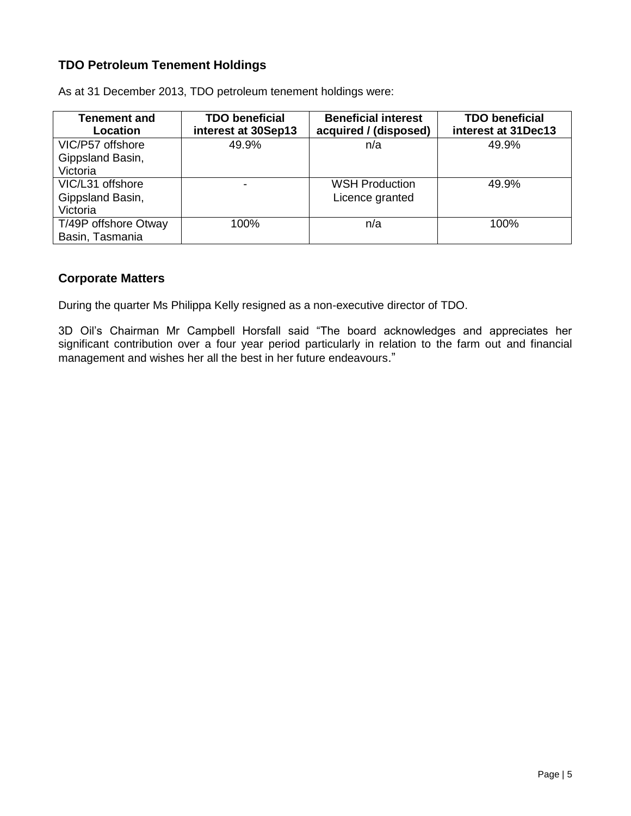### **TDO Petroleum Tenement Holdings**

| <b>Tenement and</b><br><b>Location</b>           | <b>TDO beneficial</b><br>interest at 30Sep13 | <b>Beneficial interest</b><br>acquired / (disposed) | <b>TDO beneficial</b><br>interest at 31Dec13 |
|--------------------------------------------------|----------------------------------------------|-----------------------------------------------------|----------------------------------------------|
| VIC/P57 offshore<br>Gippsland Basin,<br>Victoria | 49.9%                                        | n/a                                                 | 49.9%                                        |
| VIC/L31 offshore<br>Gippsland Basin,<br>Victoria |                                              | <b>WSH Production</b><br>Licence granted            | 49.9%                                        |
| T/49P offshore Otway<br>Basin, Tasmania          | 100%                                         | n/a                                                 | 100%                                         |

As at 31 December 2013, TDO petroleum tenement holdings were:

#### **Corporate Matters**

During the quarter Ms Philippa Kelly resigned as a non-executive director of TDO.

3D Oil's Chairman Mr Campbell Horsfall said "The board acknowledges and appreciates her significant contribution over a four year period particularly in relation to the farm out and financial management and wishes her all the best in her future endeavours."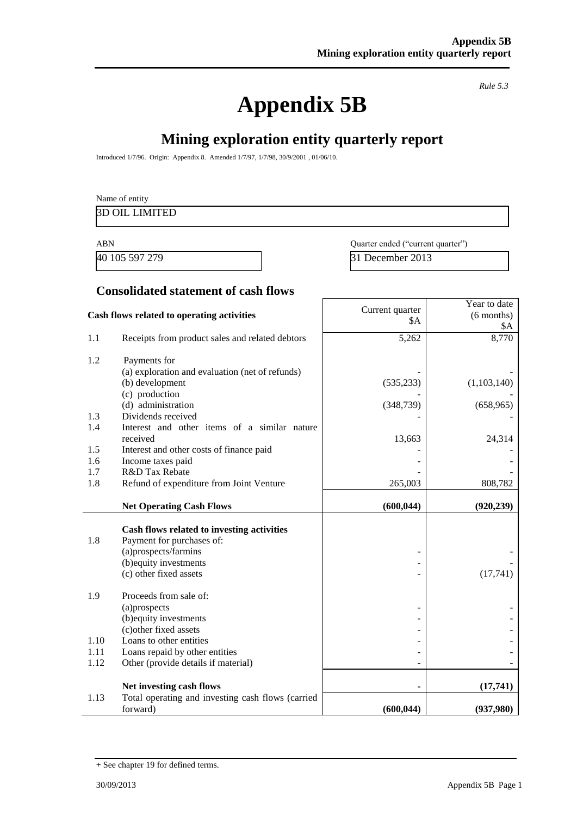# **Appendix 5B**

*Rule 5.3*

# **Mining exploration entity quarterly report**

Introduced 1/7/96. Origin: Appendix 8. Amended 1/7/97, 1/7/98, 30/9/2001 , 01/06/10.

| Name of entity        |  |  |
|-----------------------|--|--|
| <b>3D OIL LIMITED</b> |  |  |
|                       |  |  |

40 105 597 279 31 December 2013

ABN Quarter ended ("current quarter")

#### **Consolidated statement of cash flows**

|      | Cash flows related to operating activities                                                      | Current quarter<br>\$A | Year to date<br>$(6$ months)<br>\$A |
|------|-------------------------------------------------------------------------------------------------|------------------------|-------------------------------------|
| 1.1  | Receipts from product sales and related debtors                                                 | 5,262                  | 8,770                               |
| 1.2  | Payments for                                                                                    |                        |                                     |
|      | (a) exploration and evaluation (net of refunds)                                                 |                        |                                     |
|      | (b) development                                                                                 | (535, 233)             | (1,103,140)                         |
|      | (c) production<br>(d) administration                                                            |                        |                                     |
| 1.3  | Dividends received                                                                              | (348, 739)             | (658, 965)                          |
| 1.4  | Interest and other items of a similar nature                                                    |                        |                                     |
|      | received                                                                                        | 13,663                 | 24,314                              |
| 1.5  | Interest and other costs of finance paid                                                        |                        |                                     |
| 1.6  | Income taxes paid                                                                               |                        |                                     |
| 1.7  | R&D Tax Rebate                                                                                  |                        |                                     |
| 1.8  | Refund of expenditure from Joint Venture                                                        | 265,003                | 808,782                             |
|      | <b>Net Operating Cash Flows</b>                                                                 | (600, 044)             | (920, 239)                          |
| 1.8  | Cash flows related to investing activities<br>Payment for purchases of:<br>(a)prospects/farmins |                        |                                     |
|      | (b) equity investments                                                                          |                        |                                     |
|      | (c) other fixed assets                                                                          |                        | (17,741)                            |
| 1.9  | Proceeds from sale of:                                                                          |                        |                                     |
|      | (a)prospects                                                                                    |                        |                                     |
|      | (b) equity investments                                                                          |                        |                                     |
| 1.10 | (c) other fixed assets<br>Loans to other entities                                               |                        |                                     |
| 1.11 | Loans repaid by other entities                                                                  |                        |                                     |
| 1.12 | Other (provide details if material)                                                             |                        |                                     |
|      |                                                                                                 |                        |                                     |
|      | Net investing cash flows                                                                        |                        | (17,741)                            |
| 1.13 | Total operating and investing cash flows (carried<br>forward)                                   | (600, 044)             | (937,980)                           |
|      |                                                                                                 |                        |                                     |

<sup>+</sup> See chapter 19 for defined terms.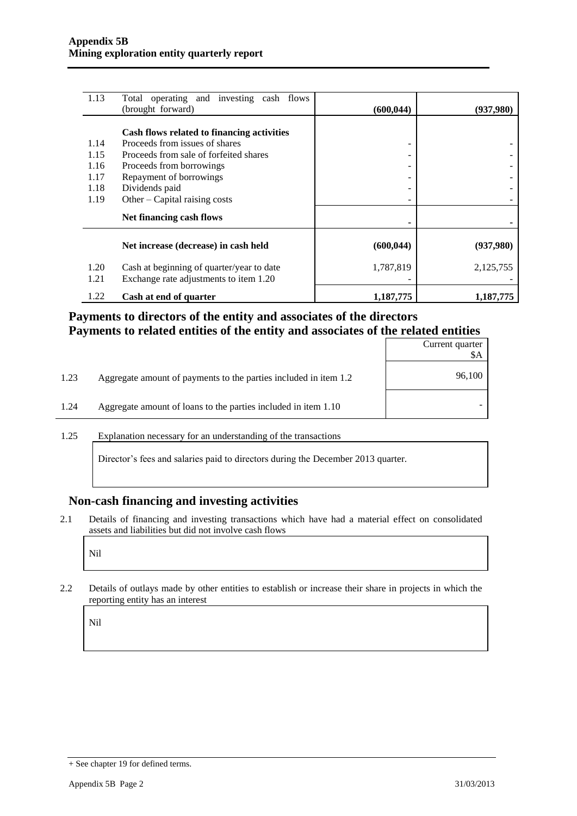| 1.13         | Total operating and investing cash flows                                            |            |           |
|--------------|-------------------------------------------------------------------------------------|------------|-----------|
|              | (brought forward)                                                                   | (600, 044) | (937,980) |
|              | Cash flows related to financing activities                                          |            |           |
| 1.14         | Proceeds from issues of shares                                                      | ۰          |           |
| 1.15         | Proceeds from sale of forfeited shares                                              |            |           |
| 1.16         | Proceeds from borrowings                                                            |            |           |
| 1.17         | Repayment of borrowings                                                             |            |           |
| 1.18         | Dividends paid                                                                      |            |           |
| 1.19         | Other – Capital raising costs                                                       |            |           |
|              | Net financing cash flows                                                            |            |           |
|              | Net increase (decrease) in cash held                                                | (600, 044) | (937,980) |
| 1.20<br>1.21 | Cash at beginning of quarter/year to date<br>Exchange rate adjustments to item 1.20 | 1,787,819  | 2,125,755 |
| 1.22         | Cash at end of quarter                                                              | 1,187,775  | 1,187,775 |

### **Payments to directors of the entity and associates of the directors Payments to related entities of the entity and associates of the related entities**

|      |                                                                  | Current quarter<br>\$Α |
|------|------------------------------------------------------------------|------------------------|
| 1.23 | Aggregate amount of payments to the parties included in item 1.2 | 96,100                 |
| 1.24 | Aggregate amount of loans to the parties included in item 1.10   |                        |

1.25 Explanation necessary for an understanding of the transactions

Director's fees and salaries paid to directors during the December 2013 quarter.

#### **Non-cash financing and investing activities**

2.1 Details of financing and investing transactions which have had a material effect on consolidated assets and liabilities but did not involve cash flows

Nil

2.2 Details of outlays made by other entities to establish or increase their share in projects in which the reporting entity has an interest

Nil

<sup>+</sup> See chapter 19 for defined terms.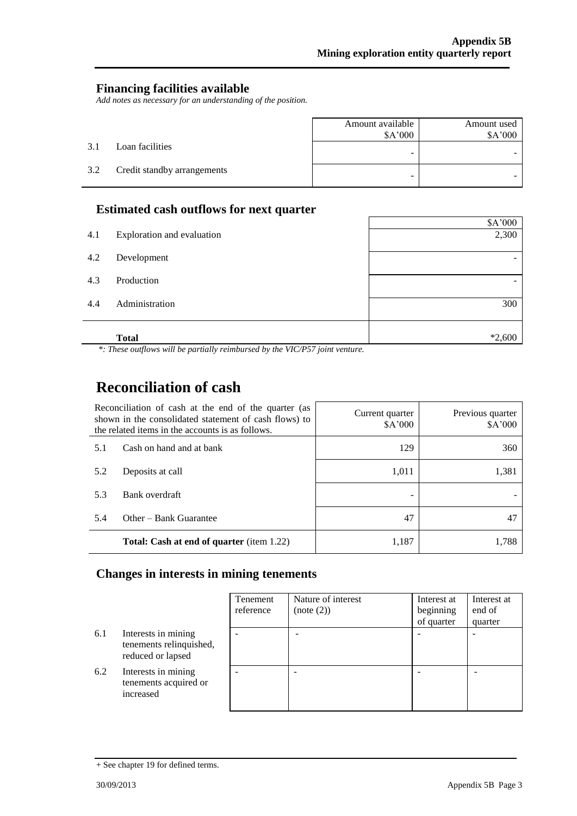#### **Financing facilities available**

*Add notes as necessary for an understanding of the position.*

|     |                             | Amount available<br>\$A'000 | Amount used<br>\$A'000 |
|-----|-----------------------------|-----------------------------|------------------------|
| 3.1 | Loan facilities             | ۰                           |                        |
| 3.2 | Credit standby arrangements | -                           |                        |

## **Estimated cash outflows for next quarter**

|     | <b>Total</b>               | $*2,600$ |
|-----|----------------------------|----------|
| 4.4 | Administration             | 300      |
| 4.3 | Production                 |          |
| 4.2 | Development                |          |
| 4.1 | Exploration and evaluation | 2,300    |
|     |                            | \$A'000  |

*\*: These outflows will be partially reimbursed by the VIC/P57 joint venture.*

# **Reconciliation of cash**

| Reconciliation of cash at the end of the quarter (as<br>shown in the consolidated statement of cash flows) to<br>the related items in the accounts is as follows. |                                                  | Current quarter<br>\$A'000 | Previous quarter<br>\$A'000 |
|-------------------------------------------------------------------------------------------------------------------------------------------------------------------|--------------------------------------------------|----------------------------|-----------------------------|
| 5.1                                                                                                                                                               | Cash on hand and at bank                         | 129                        | 360                         |
| 5.2                                                                                                                                                               | Deposits at call                                 | 1,011                      | 1,381                       |
| 5.3                                                                                                                                                               | Bank overdraft                                   |                            |                             |
| 5.4                                                                                                                                                               | Other – Bank Guarantee                           | 47                         | 47                          |
|                                                                                                                                                                   | <b>Total: Cash at end of quarter</b> (item 1.22) | 1,187                      | 1.788                       |

# **Changes in interests in mining tenements**

|     |                                                                     | Tenement<br>reference | Nature of interest<br>(note (2)) | Interest at<br>beginning<br>of quarter | Interest at<br>end of<br>quarter |
|-----|---------------------------------------------------------------------|-----------------------|----------------------------------|----------------------------------------|----------------------------------|
| 6.1 | Interests in mining<br>tenements relinquished,<br>reduced or lapsed |                       |                                  |                                        |                                  |
| 6.2 | Interests in mining<br>tenements acquired or<br>increased           |                       |                                  |                                        |                                  |

<sup>+</sup> See chapter 19 for defined terms.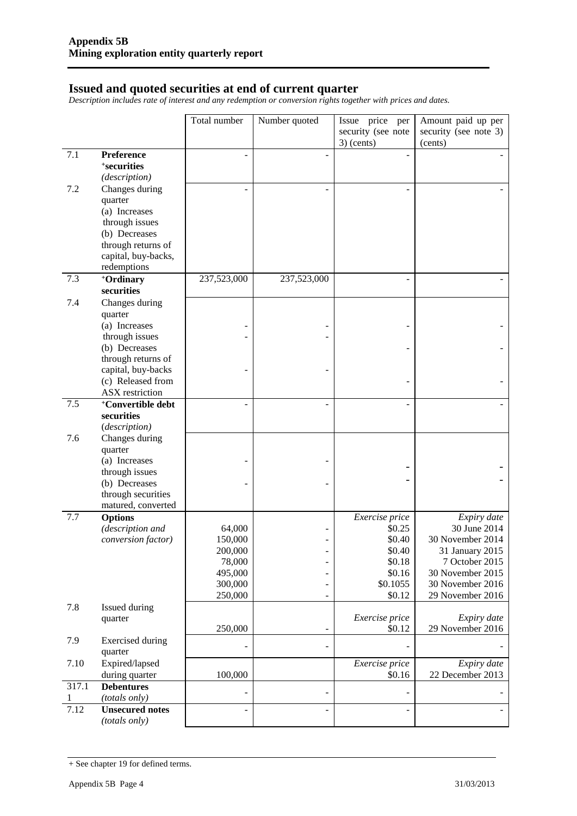#### **Issued and quoted securities at end of current quarter**

*Description includes rate of interest and any redemption or conversion rights together with prices and dates.*

|       |                                                                                                                            | Total number       | Number quoted  | Issue price per<br>security (see note<br>$3)$ (cents) | Amount paid up per<br>security (see note 3)<br>(cents) |
|-------|----------------------------------------------------------------------------------------------------------------------------|--------------------|----------------|-------------------------------------------------------|--------------------------------------------------------|
| 7.1   | Preference<br><sup>+</sup> securities<br>(description)                                                                     |                    |                |                                                       |                                                        |
| 7.2   | Changes during<br>quarter<br>(a) Increases<br>through issues<br>(b) Decreases<br>through returns of<br>capital, buy-backs, |                    |                |                                                       |                                                        |
| 7.3   | redemptions<br>+Ordinary                                                                                                   | 237,523,000        | 237,523,000    |                                                       |                                                        |
|       | securities                                                                                                                 |                    |                |                                                       |                                                        |
| 7.4   | Changes during<br>quarter                                                                                                  |                    |                |                                                       |                                                        |
|       | (a) Increases                                                                                                              |                    |                |                                                       |                                                        |
|       | through issues<br>(b) Decreases                                                                                            |                    |                |                                                       |                                                        |
|       | through returns of                                                                                                         |                    |                |                                                       |                                                        |
|       | capital, buy-backs                                                                                                         |                    |                |                                                       |                                                        |
|       | (c) Released from<br>ASX restriction                                                                                       |                    |                |                                                       |                                                        |
| 7.5   | <sup>+</sup> Convertible debt                                                                                              |                    |                |                                                       |                                                        |
|       | securities<br>(description)                                                                                                |                    |                |                                                       |                                                        |
| 7.6   | Changes during                                                                                                             |                    |                |                                                       |                                                        |
|       | quarter                                                                                                                    |                    |                |                                                       |                                                        |
|       | (a) Increases<br>through issues                                                                                            |                    |                |                                                       |                                                        |
|       | (b) Decreases                                                                                                              |                    |                |                                                       |                                                        |
|       | through securities<br>matured, converted                                                                                   |                    |                |                                                       |                                                        |
| 7.7   | <b>Options</b>                                                                                                             |                    |                | Exercise price                                        | Expiry date                                            |
|       | (description and                                                                                                           | 64,000             |                | \$0.25                                                | 30 June 2014                                           |
|       | conversion factor)                                                                                                         | 150,000<br>200,000 | Ξ              | \$0.40<br>\$0.40                                      | 30 November 2014<br>31 January 2015                    |
|       |                                                                                                                            | 78,000             |                | \$0.18                                                | 7 October 2015                                         |
|       |                                                                                                                            | 495,000            | -              | \$0.16                                                | 30 November 2015                                       |
|       |                                                                                                                            | 300,000            | $\overline{a}$ | \$0.1055                                              | 30 November 2016                                       |
|       |                                                                                                                            | 250,000            | -              | \$0.12                                                | 29 November 2016                                       |
| 7.8   | Issued during<br>quarter                                                                                                   |                    |                | Exercise price                                        | Expiry date                                            |
|       |                                                                                                                            | 250,000            | ÷,             | \$0.12                                                | 29 November 2016                                       |
| 7.9   | <b>Exercised</b> during<br>quarter                                                                                         |                    | $\overline{a}$ |                                                       |                                                        |
| 7.10  | Expired/lapsed<br>during quarter                                                                                           | 100,000            |                | Exercise price<br>\$0.16                              | Expiry date<br>22 December 2013                        |
| 317.1 | <b>Debentures</b>                                                                                                          |                    | $\overline{a}$ |                                                       |                                                        |
| 1     | (totals only)                                                                                                              |                    |                |                                                       |                                                        |
| 7.12  | <b>Unsecured notes</b><br>(totals only)                                                                                    |                    |                |                                                       |                                                        |

<sup>+</sup> See chapter 19 for defined terms.